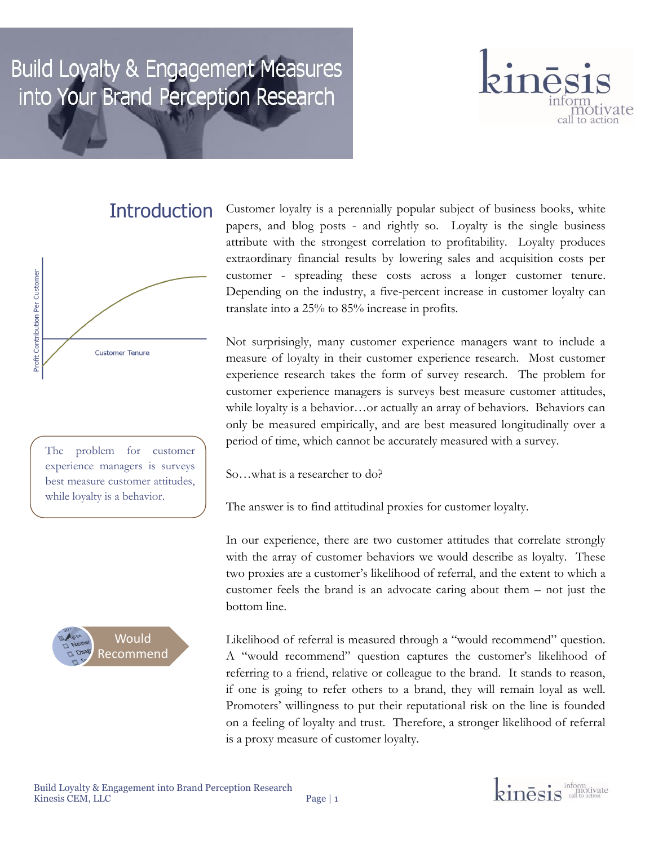# Build Loyalty & Engagement Measures into Your Brand Perception Research



#### **Introduction**



The problem for customer experience managers is surveys best measure customer attitudes, while loyalty is a behavior.



Customer loyalty is a perennially popular subject of business books, white papers, and blog posts - and rightly so. Loyalty is the single business attribute with the strongest correlation to profitability. Loyalty produces extraordinary financial results by lowering sales and acquisition costs per customer - spreading these costs across a longer customer tenure. Depending on the industry, a five-percent increase in customer loyalty can translate into a 25% to 85% increase in profits.

Not surprisingly, many customer experience managers want to include a measure of loyalty in their customer experience research. Most customer experience research takes the form of survey research. The problem for customer experience managers is surveys best measure customer attitudes, while loyalty is a behavior…or actually an array of behaviors. Behaviors can only be measured empirically, and are best measured longitudinally over a period of time, which cannot be accurately measured with a survey.

So…what is a researcher to do?

The answer is to find attitudinal proxies for customer loyalty.

In our experience, there are two customer attitudes that correlate strongly with the array of customer behaviors we would describe as loyalty. These two proxies are a customer's likelihood of referral, and the extent to which a customer feels the brand is an advocate caring about them – not just the bottom line.

Likelihood of referral is measured through a "would recommend" question. A "would recommend" question captures the customer's likelihood of referring to a friend, relative or colleague to the brand. It stands to reason, if one is going to refer others to a brand, they will remain loyal as well. Promoters' willingness to put their reputational risk on the line is founded on a feeling of loyalty and trust. Therefore, a stronger likelihood of referral is a proxy measure of customer loyalty.

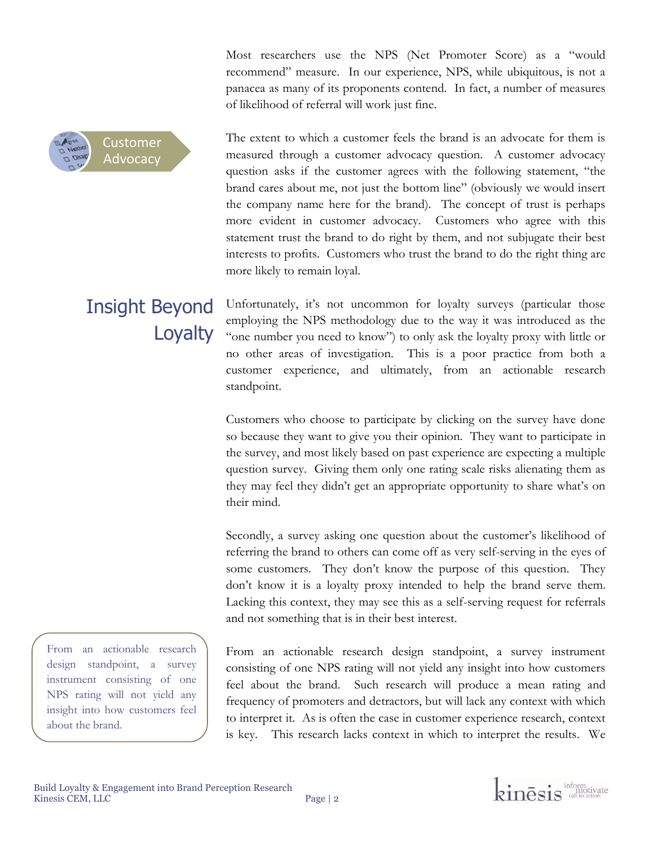Most researchers use the NPS (Net Promoter Score) as a "would recommend" measure. In our experience, NPS, while ubiquitous, is not a panacea as many of its proponents contend. In fact, a number of measures of likelihood of referral will work just fine.

Customer Advocacy

The extent to which a customer feels the brand is an advocate for them is measured through a customer advocacy question. A customer advocacy question asks if the customer agrees with the following statement, "the brand cares about me, not just the bottom line" (obviously we would insert the company name here for the brand). The concept of trust is perhaps more evident in customer advocacy. Customers who agree with this statement trust the brand to do right by them, and not subjugate their best interests to profits. Customers who trust the brand to do the right thing are more likely to remain loyal.

## Insight Beyond **Loyalty**

Unfortunately, it's not uncommon for loyalty surveys (particular those employing the NPS methodology due to the way it was introduced as the "one number you need to know") to only ask the loyalty proxy with little or no other areas of investigation. This is a poor practice from both a customer experience, and ultimately, from an actionable research standpoint.

Customers who choose to participate by clicking on the survey have done so because they want to give you their opinion. They want to participate in the survey, and most likely based on past experience are expecting a multiple question survey. Giving them only one rating scale risks alienating them as they may feel they didn't get an appropriate opportunity to share what's on their mind.

Secondly, a survey asking one question about the customer's likelihood of referring the brand to others can come off as very self-serving in the eyes of some customers. They don't know the purpose of this question. They don't know it is a loyalty proxy intended to help the brand serve them. Lacking this context, they may see this as a self-serving request for referrals and not something that is in their best interest.

From an actionable research design standpoint, a survey instrument consisting of one NPS rating will not yield any insight into how customers feel about the brand. Such research will produce a mean rating and frequency of promoters and detractors, but will lack any context with which to interpret it. As is often the case in customer experience research, context is key. This research lacks context in which to interpret the results. We

From an actionable research design standpoint, a survey instrument consisting of one NPS rating will not yield any insight into how customers feel about the brand.

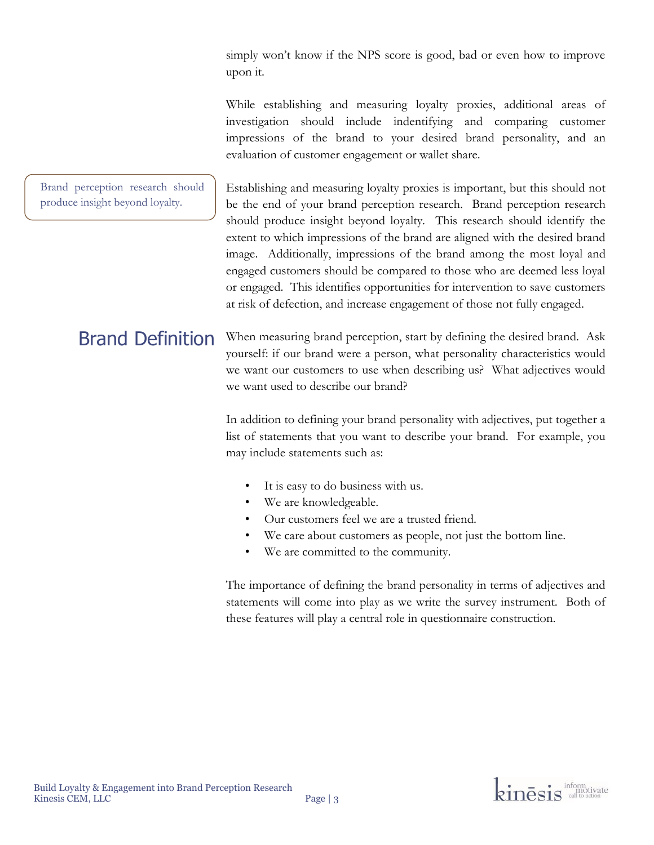simply won't know if the NPS score is good, bad or even how to improve upon it.

While establishing and measuring loyalty proxies, additional areas of investigation should include indentifying and comparing customer impressions of the brand to your desired brand personality, and an evaluation of customer engagement or wallet share.

Establishing and measuring loyalty proxies is important, but this should not be the end of your brand perception research. Brand perception research should produce insight beyond loyalty. This research should identify the extent to which impressions of the brand are aligned with the desired brand image. Additionally, impressions of the brand among the most loyal and engaged customers should be compared to those who are deemed less loyal or engaged. This identifies opportunities for intervention to save customers at risk of defection, and increase engagement of those not fully engaged. Brand perception research should produce insight beyond loyalty.

When measuring brand perception, start by defining the desired brand. Ask yourself: if our brand were a person, what personality characteristics would we want our customers to use when describing us? What adjectives would we want used to describe our brand? Brand Definition

> In addition to defining your brand personality with adjectives, put together a list of statements that you want to describe your brand. For example, you may include statements such as:

- It is easy to do business with us.
- We are knowledgeable.
- Our customers feel we are a trusted friend.
- We care about customers as people, not just the bottom line.
- We are committed to the community.

The importance of defining the brand personality in terms of adjectives and statements will come into play as we write the survey instrument. Both of these features will play a central role in questionnaire construction.

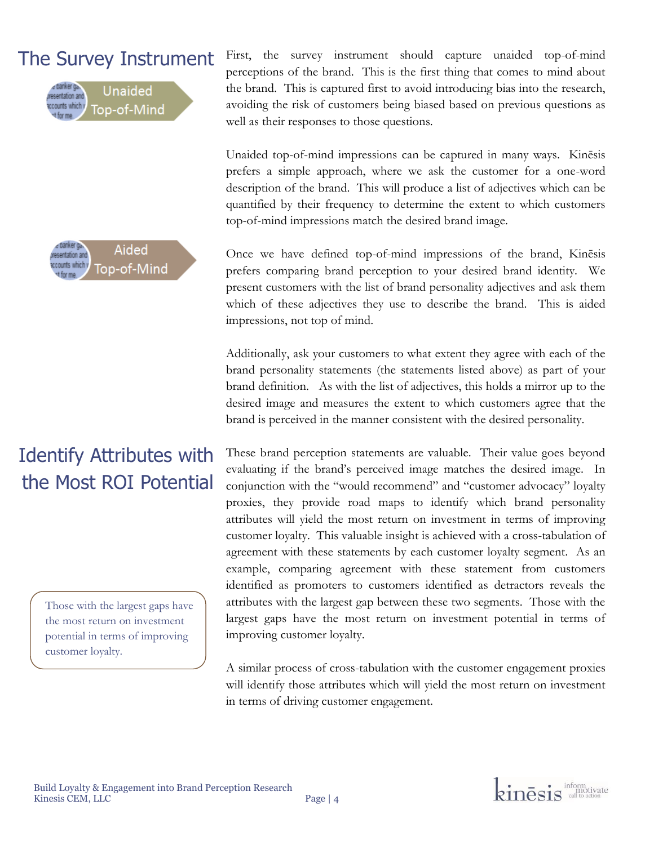### The Survey Instrument





## Identify Attributes with the Most ROI Potential

Those with the largest gaps have the most return on investment potential in terms of improving customer loyalty.

First, the survey instrument should capture unaided top-of-mind perceptions of the brand. This is the first thing that comes to mind about the brand. This is captured first to avoid introducing bias into the research, avoiding the risk of customers being biased based on previous questions as well as their responses to those questions.

Unaided top-of-mind impressions can be captured in many ways. Kinēsis prefers a simple approach, where we ask the customer for a one-word description of the brand. This will produce a list of adjectives which can be quantified by their frequency to determine the extent to which customers top-of-mind impressions match the desired brand image.

Once we have defined top-of-mind impressions of the brand, Kinēsis prefers comparing brand perception to your desired brand identity. We present customers with the list of brand personality adjectives and ask them which of these adjectives they use to describe the brand. This is aided impressions, not top of mind.

Additionally, ask your customers to what extent they agree with each of the brand personality statements (the statements listed above) as part of your brand definition. As with the list of adjectives, this holds a mirror up to the desired image and measures the extent to which customers agree that the brand is perceived in the manner consistent with the desired personality.

These brand perception statements are valuable. Their value goes beyond evaluating if the brand's perceived image matches the desired image. In conjunction with the "would recommend" and "customer advocacy" loyalty proxies, they provide road maps to identify which brand personality attributes will yield the most return on investment in terms of improving customer loyalty. This valuable insight is achieved with a cross-tabulation of agreement with these statements by each customer loyalty segment. As an example, comparing agreement with these statement from customers identified as promoters to customers identified as detractors reveals the attributes with the largest gap between these two segments. Those with the largest gaps have the most return on investment potential in terms of improving customer loyalty.

A similar process of cross-tabulation with the customer engagement proxies will identify those attributes which will yield the most return on investment in terms of driving customer engagement.

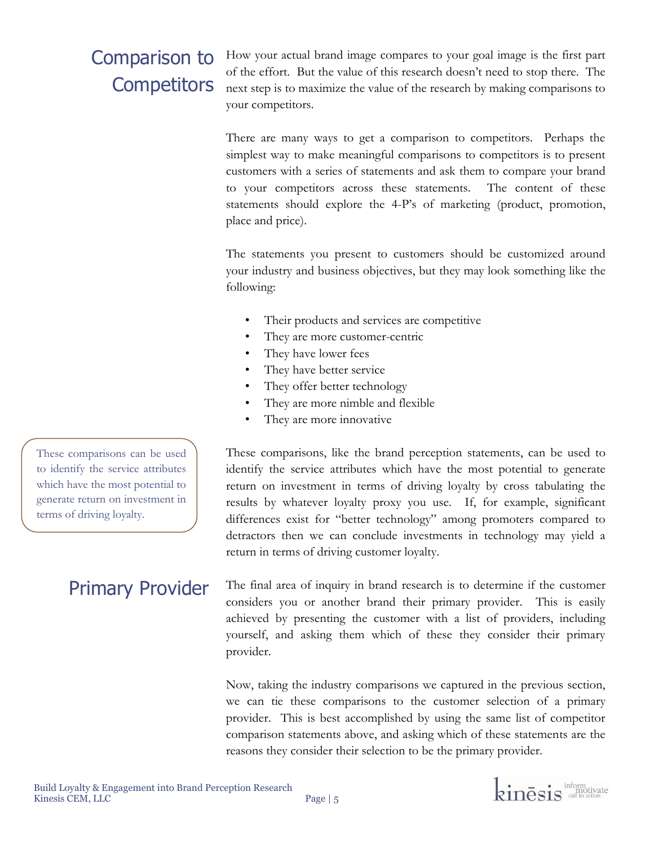## Comparison to **Competitors**

How your actual brand image compares to your goal image is the first part of the effort. But the value of this research doesn't need to stop there. The next step is to maximize the value of the research by making comparisons to your competitors.

There are many ways to get a comparison to competitors. Perhaps the simplest way to make meaningful comparisons to competitors is to present customers with a series of statements and ask them to compare your brand to your competitors across these statements. The content of these statements should explore the 4-P's of marketing (product, promotion, place and price).

The statements you present to customers should be customized around your industry and business objectives, but they may look something like the following:

- Their products and services are competitive.
- They are more customer-centric
- They have lower fees
- They have better service
- They offer better technology
- They are more nimble and flexible
- They are more innovative

These comparisons, like the brand perception statements, can be used to identify the service attributes which have the most potential to generate return on investment in terms of driving loyalty by cross tabulating the results by whatever loyalty proxy you use. If, for example, significant differences exist for "better technology" among promoters compared to detractors then we can conclude investments in technology may yield a return in terms of driving customer loyalty.

The final area of inquiry in brand research is to determine if the customer considers you or another brand their primary provider. This is easily achieved by presenting the customer with a list of providers, including yourself, and asking them which of these they consider their primary provider.

Now, taking the industry comparisons we captured in the previous section, we can tie these comparisons to the customer selection of a primary provider. This is best accomplished by using the same list of competitor comparison statements above, and asking which of these statements are the reasons they consider their selection to be the primary provider.

These comparisons can be used to identify the service attributes which have the most potential to generate return on investment in terms of driving loyalty.

### Primary Provider